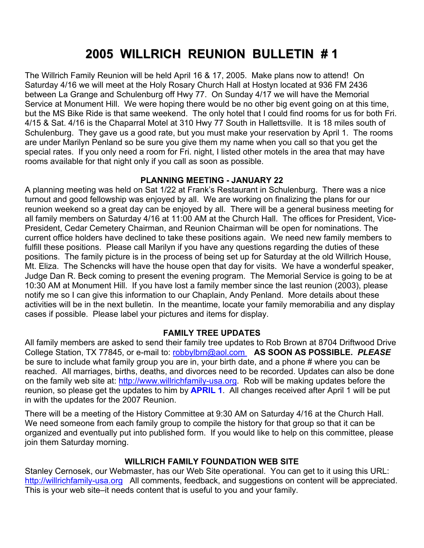# **2005 WILLRICH REUNION BULLETIN # 1**

The Willrich Family Reunion will be held April 16 & 17, 2005. Make plans now to attend! On Saturday 4/16 we will meet at the Holy Rosary Church Hall at Hostyn located at 936 FM 2436 between La Grange and Schulenburg off Hwy 77. On Sunday 4/17 we will have the Memorial Service at Monument Hill. We were hoping there would be no other big event going on at this time, but the MS Bike Ride is that same weekend. The only hotel that I could find rooms for us for both Fri. 4/15 & Sat. 4/16 is the Chaparral Motel at 310 Hwy 77 South in Hallettsville. It is 18 miles south of Schulenburg. They gave us a good rate, but you must make your reservation by April 1. The rooms are under Marilyn Penland so be sure you give them my name when you call so that you get the special rates. If you only need a room for Fri. night, I listed other motels in the area that may have rooms available for that night only if you call as soon as possible.

# **PLANNING MEETING - JANUARY 22**

A planning meeting was held on Sat 1/22 at Frank's Restaurant in Schulenburg. There was a nice turnout and good fellowship was enjoyed by all. We are working on finalizing the plans for our reunion weekend so a great day can be enjoyed by all. There will be a general business meeting for all family members on Saturday 4/16 at 11:00 AM at the Church Hall. The offices for President, Vice-President, Cedar Cemetery Chairman, and Reunion Chairman will be open for nominations. The current office holders have declined to take these positions again. We need new family members to fulfill these positions. Please call Marilyn if you have any questions regarding the duties of these positions. The family picture is in the process of being set up for Saturday at the old Willrich House, Mt. Eliza. The Schencks will have the house open that day for visits. We have a wonderful speaker, Judge Dan R. Beck coming to present the evening program. The Memorial Service is going to be at 10:30 AM at Monument Hill. If you have lost a family member since the last reunion (2003), please notify me so I can give this information to our Chaplain, Andy Penland. More details about these activities will be in the next bulletin. In the meantime, locate your family memorabilia and any display cases if possible. Please label your pictures and items for display.

#### **FAMILY TREE UPDATES**

All family members are asked to send their family tree updates to Rob Brown at 8704 Driftwood Drive College Station, TX 77845, or e-mail to: robbylbrn@aol.com **AS SOON AS POSSIBLE.** *PLEASE* be sure to include what family group you are in, your birth date, and a phone # where you can be reached. All marriages, births, deaths, and divorces need to be recorded. Updates can also be done on the family web site at: http://www.willrichfamily-usa.org. Rob will be making updates before the reunion, so please get the updates to him by **APRIL 1**. All changes received after April 1 will be put in with the updates for the 2007 Reunion.

There will be a meeting of the History Committee at 9:30 AM on Saturday 4/16 at the Church Hall. We need someone from each family group to compile the history for that group so that it can be organized and eventually put into published form. If you would like to help on this committee, please join them Saturday morning.

# **WILLRICH FAMILY FOUNDATION WEB SITE**

Stanley Cernosek, our Webmaster, has our Web Site operational. You can get to it using this URL: http://willrichfamily-usa.org All comments, feedback, and suggestions on content will be appreciated. This is your web site–it needs content that is useful to you and your family.